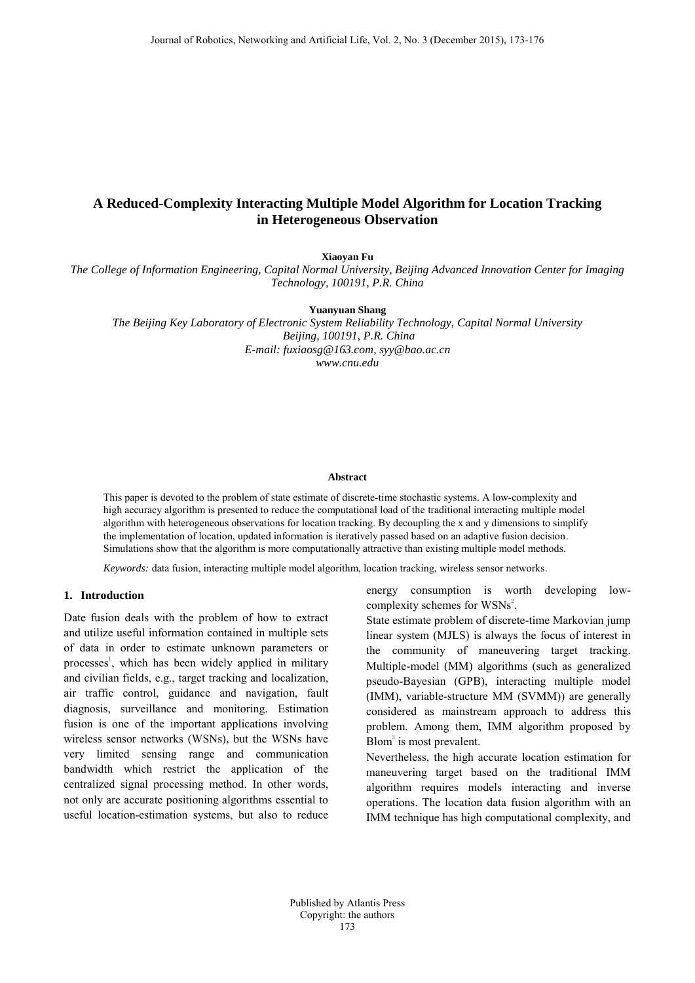# **A Reduced-Complexity Interacting Multiple Model Algorithm for Location Tracking in Heterogeneous Observation**

**Xiaoyan Fu**

*The College of Information Engineering, Capital Normal University, Beijing Advanced Innovation Center for Imaging Technology, 100191, P.R. China*

**Yuanyuan Shang** 

*The Beijing Key Laboratory of Electronic System Reliability Technology, Capital Normal University Beijing, 100191, P.R. China E-mail: fuxiaosg@163.com, syy@bao.ac.cn www.cnu.edu*

#### **Abstract**

This paper is devoted to the problem of state estimate of discrete-time stochastic systems. A low-complexity and high accuracy algorithm is presented to reduce the computational load of the traditional interacting multiple model algorithm with heterogeneous observations for location tracking. By decoupling the x and y dimensions to simplify the implementation of location, updated information is iteratively passed based on an adaptive fusion decision. Simulations show that the algorithm is more computationally attractive than existing multiple model methods.

*Keywords:* data fusion, interacting multiple model algorithm, location tracking, wireless sensor networks.

## **1. Introduction**

Date fusion deals with the problem of how to extract and utilize useful information contained in multiple sets of data in order to estimate unknown parameters or processes 1 , which has been widely applied in military and civilian fields, e.g., target tracking and localization, air traffic control, guidance and navigation, fault diagnosis, surveillance and monitoring. Estimation fusion is one of the important applications involving wireless sensor networks (WSNs), but the WSNs have very limited sensing range and communication bandwidth which restrict the application of the centralized signal processing method. In other words, not only are accurate positioning algorithms essential to useful location-estimation systems, but also to reduce

energy consumption is worth developing lowcomplexity schemes for WSNs<sup>2</sup>.

State estimate problem of discrete-time Markovian jump linear system (MJLS) is always the focus of interest in the community of maneuvering target tracking. Multiple-model (MM) algorithms (such as generalized pseudo-Bayesian (GPB), interacting multiple model (IMM), variable-structure MM (SVMM)) are generally considered as mainstream approach to address this problem. Among them, IMM algorithm proposed by  $Blom<sup>3</sup>$  is most prevalent.

Nevertheless, the high accurate location estimation for maneuvering target based on the traditional IMM algorithm requires models interacting and inverse operations. The location data fusion algorithm with an IMM technique has high computational complexity, and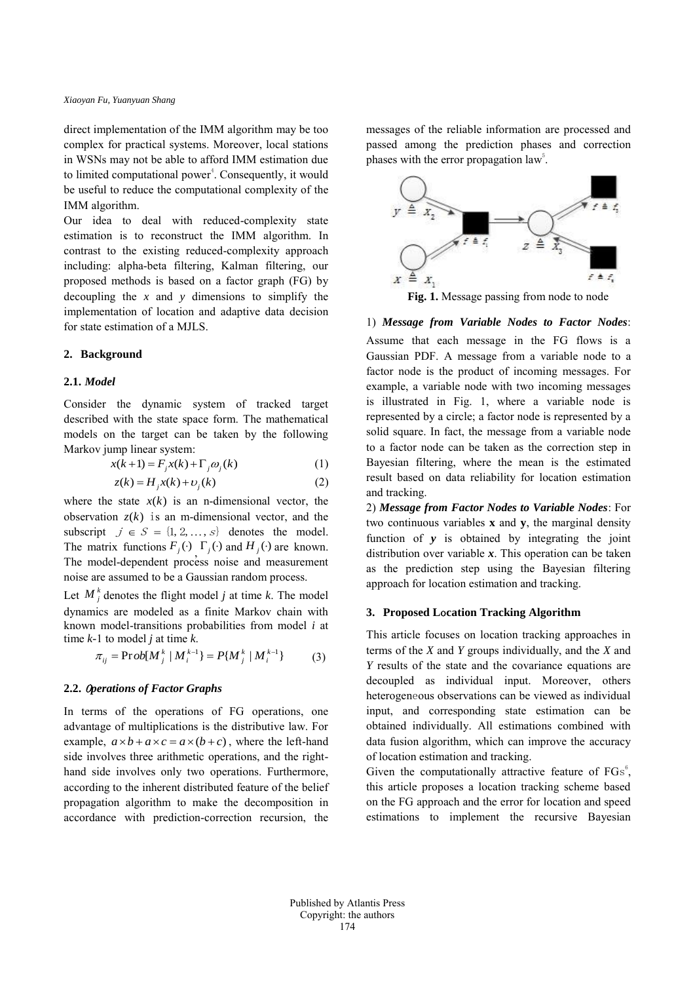direct implementation of the IMM algorithm may be too complex for practical systems. Moreover, local stations in WSNs may not be able to afford IMM estimation due to limited computational power<sup>4</sup>. Consequently, it would be useful to reduce the computational complexity of the IMM algorithm.

Our idea to deal with reduced-complexity state estimation is to reconstruct the IMM algorithm. In contrast to the existing reduced-complexity approach including: alpha-beta filtering, Kalman filtering, our proposed methods is based on a factor graph (FG) by decoupling the *x* and *y* dimensions to simplify the implementation of location and adaptive data decision for state estimation of a MJLS.

## **2. Background**

### **2.1.** *Model*

Consider the dynamic system of tracked target described with the state space form. The mathematical models on the target can be taken by the following Markov jump linear system:

$$
x(k+1) = F_j x(k) + \Gamma_j \omega_j(k)
$$
 (1)

$$
z(k) = H_j x(k) + \upsilon_j(k)
$$
 (2)

where the state  $x(k)$  is an n-dimensional vector, the observation  $z(k)$  is an m-dimensional vector, and the subscript  $j \in S = \{1, 2, ..., s\}$  denotes the model. The matrix functions  $F_j(\cdot)$ ,  $\Gamma_j(\cdot)$  and  $H_j(\cdot)$  are known. The model-dependent process noise and measurement noise are assumed to be a Gaussian random process.

Let  $M_j^k$  denotes the flight model *j* at time *k*. The model dynamics are modeled as a finite Markov chain with known model-transitions probabilities from model *i* at time *k-*1 to model *j* at time *k*.

$$
\pi_{ij} = \text{Prob}[M_j^k | M_i^{k-1}] = P\{M_j^k | M_i^{k-1}\} \tag{3}
$$

#### **2.2.** <sup>O</sup>*perations of Factor Graphs*

In terms of the operations of FG operations, one advantage of multiplications is the distributive law. For example,  $a \times b + a \times c = a \times (b + c)$ , where the left-hand side involves three arithmetic operations, and the righthand side involves only two operations. Furthermore, according to the inherent distributed feature of the belief propagation algorithm to make the decomposition in accordance with prediction-correction recursion, the

messages of the reliable information are processed and passed among the prediction phases and correction phases with the error propagation law<sup>5</sup>.



**Fig. 1.** Message passing from node to node

### 1) *Message from Variable Nodes to Factor Nodes*:

Assume that each message in the FG flows is a Gaussian PDF. A message from a variable node to a factor node is the product of incoming messages. For example, a variable node with two incoming messages is illustrated in Fig. 1, where a variable node is represented by a circle; a factor node is represented by a solid square. In fact, the message from a variable node to a factor node can be taken as the correction step in Bayesian filtering, where the mean is the estimated result based on data reliability for location estimation and tracking.

2) *Message from Factor Nodes to Variable Nodes*: For two continuous variables **x** and **y**, the marginal density function of *y* is obtained by integrating the joint distribution over variable *x*. This operation can be taken as the prediction step using the Bayesian filtering approach for location estimation and tracking.

### **3. Proposed L**o**cation Tracking Algorithm**

This article focuses on location tracking approaches in terms of the *X* and *Y* groups individually, and the *X* and *Y* results of the state and the covariance equations are decoupled as individual input. Moreover, others heterogeneous observations can be viewed as individual input, and corresponding state estimation can be obtained individually. All estimations combined with data fusion algorithm, which can improve the accuracy of location estimation and tracking.

Given the computationally attractive feature of  $FGs^6$ , this article proposes a location tracking scheme based on the FG approach and the error for location and speed estimations to implement the recursive Bayesian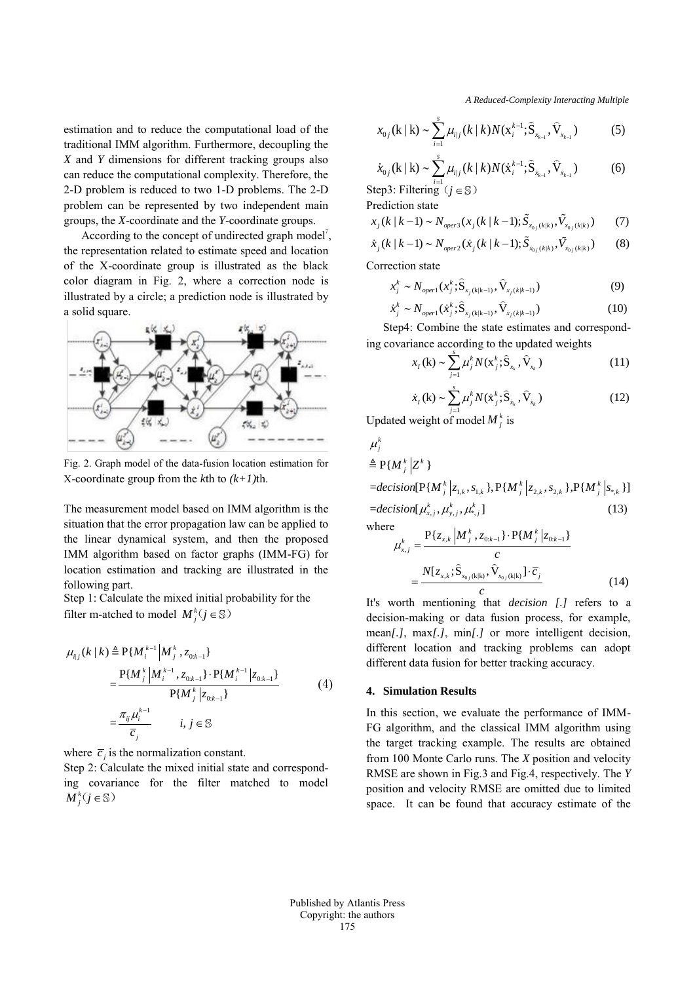estimation and to reduce the computational load of the traditional IMM algorithm. Furthermore, decoupling the *X* and *Y* dimensions for different tracking groups also can reduce the computational complexity. Therefore, the 2-D problem is reduced to two 1-D problems. The 2-D problem can be represented by two independent main groups, the *X*-coordinate and the *Y*-coordinate groups.

According to the concept of undirected graph model<sup>7</sup>, the representation related to estimate speed and location of the X-coordinate group is illustrated as the black color diagram in Fig. 2, where a correction node is illustrated by a circle; a prediction node is illustrated by a solid square.



Fig. 2. Graph model of the data-fusion location estimation for X-coordinate group from the *k*th to *(k+1)*th.

The measurement model based on IMM algorithm is the situation that the error propagation law can be applied to the linear dynamical system, and then the proposed IMM algorithm based on factor graphs (IMM-FG) for location estimation and tracking are illustrated in the following part.

Step 1: Calculate the mixed initial probability for the filter m-atched to model  $M_j^k(j \in \mathbb{S})$ 

$$
\mu_{i|j}(k | k) \triangleq P\{M_i^{k-1} | M_j^{k}, z_{0:k-1}\}\n= \frac{P\{M_j^{k} | M_i^{k-1}, z_{0:k-1}\} \cdot P\{M_i^{k-1} | z_{0:k-1}\}}{P\{M_j^{k} | z_{0:k-1}\}}\n= \frac{\pi_{ij} \mu_i^{k-1}}{\overline{c}_j} \qquad i, j \in \mathbb{S}
$$
\n(4)

where  $\overline{c}_j$  is the normalization constant.

Step 2: Calculate the mixed initial state and corresponding covariance for the filter matched to model  $M^k$  ( $j \in \mathbb{S}$ )

 *A Reduced-Complexity Interacting Multiple*

$$
x_{0j}(\mathbf{k} \mid \mathbf{k}) \sim \sum_{i=1}^{s} \mu_{i|j}(\mathbf{k} \mid \mathbf{k}) N(\mathbf{x}_{i}^{k-1}; \hat{\mathbf{S}}_{x_{k-1}}, \hat{\mathbf{V}}_{x_{k-1}})
$$
(5)

$$
\dot{x}_{0j}(\mathbf{k} \mid \mathbf{k}) \sim \sum_{i=1}^{s} \mu_{i|j}(\mathbf{k} \mid \mathbf{k}) N(\dot{x}_{i}^{k-1}; \hat{\mathbf{S}}_{\dot{x}_{k-1}}, \hat{\mathbf{V}}_{\dot{x}_{k-1}})
$$
(6)  
Step3: Filtering  $(j \in \mathbb{S})$ 

Prediction state

$$
\begin{array}{ll}\n\text{prediction state} \\
x_j(k|k-1) \sim N_{oper3}(x_j(k|k-1); \tilde{S}_{x_{0j}(k|k)}, \tilde{V}_{x_{0j}(k|k)}) \\
\dot{x}_j(k|k-1) \sim N_{oper2}(\dot{x}_j(k|k-1); \tilde{S}_{x_{0j}(k|k)}, \tilde{V}_{x_{0j}(k|k)})\n\end{array} \tag{3}
$$

$$
\dot{x}_j(k \mid k-1) \sim N_{oper2}(\dot{x}_j(k \mid k-1); \tilde{S}_{\dot{x}_{0j}(k \mid k)}, \tilde{V}_{\dot{x}_{0j}(k \mid k)})
$$
(8)

$$
\begin{aligned} \text{Correction state} \\ x_j^k &\sim N_{open1}(x_j^k; \hat{\mathbf{S}}_{x_j(k|k-1)}, \hat{\mathbf{V}}_{x_j(k|k-1)}) \end{aligned} \tag{9}
$$

$$
x_j \sim N_{open1}(x_j; \hat{S}_{x_j(k|k-1)}, V_{x_j(k|k-1)})
$$
(9)  

$$
\dot{x}_j^k \sim N_{open1}(\dot{x}_j^k; \hat{S}_{x_j(k|k-1)}, \hat{V}_{x_j(k|k-1)})
$$
(10)

Step4: Combine the state estimates and correspond-

ing covariance according to the updated weights  

$$
x_t(\mathbf{k}) \sim \sum_{j=1}^{s} \mu_j^k N(\mathbf{x}_j^k; \hat{\mathbf{S}}_{x_k}, \hat{\mathbf{V}}_{x_k})
$$
(11)

$$
\dot{x}_{i}(\mathbf{k}) \sim \sum_{j=1}^{s} \mu_{j}^{k} N(\dot{x}_{j}^{k}; \hat{\mathbf{S}}_{\dot{x}_{k}}, \hat{\mathbf{V}}_{\dot{x}_{k}})
$$
(12)

Updated weight of model  $M_j^k$  is

$$
\mu_j^k
$$
\n
$$
\triangleq P\{M_j^k | Z^k\}
$$
\n=decision[ $P\{M_j^k | z_{1,k}, s_{1,k}\}$ ,  $P\{M_j^k | z_{2,k}, s_{2,k}\}$ ,  $P\{M_j^k | s_{*,k}\}$ ]  
\n=decision[ $\mu_{x,j}^k, \mu_{y,j}^k, \mu_{s,j}^k$ ] (13)  
\nwhere  
\n
$$
\mu_{x,j}^k = \frac{P\{z_{x,k} | M_j^k, z_{0,k-1}\} \cdot P\{M_j^k | z_{0,k-1}\}}{c}
$$

$$
\mu_{x,j} = \frac{c}{\sum_{x,k} \sum_{x_0} (\mathbf{k}|\mathbf{k})} \frac{c}{\hat{V}_{x_0}(\mathbf{k}|\mathbf{k})} \cdot \overline{c}_j}{c}
$$
(14)

It's worth mentioning that *decision [.]* refers to a decision-making or data fusion process, for example, mean*[.]*, max*[.]*, min*[.]* or more intelligent decision, different location and tracking problems can adopt different data fusion for better tracking accuracy.

## **4. Simulation Results**

In this section, we evaluate the performance of IMM-FG algorithm, and the classical IMM algorithm using the target tracking example. The results are obtained from 100 Monte Carlo runs. The *X* position and velocity RMSE are shown in Fig.3 and Fig.4, respectively. The *Y* position and velocity RMSE are omitted due to limited space. It can be found that accuracy estimate of the